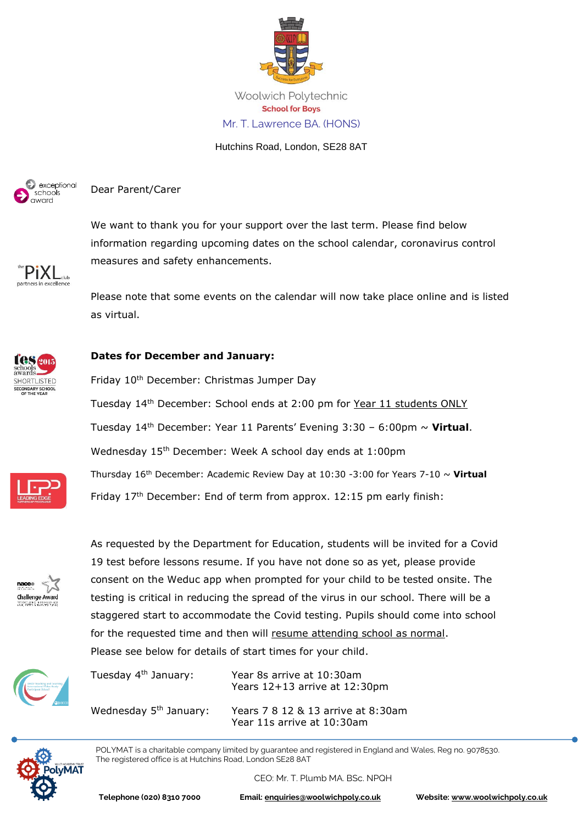

Woolwich Polytechnic **School for Boys** Mr. T. Lawrence BA. (HONS)

Hutchins Road, London, SE28 8AT



Dear Parent/Carer

We want to thank you for your support over the last term. Please find below information regarding upcoming dates on the school calendar, coronavirus control measures and safety enhancements.



Please note that some events on the calendar will now take place online and is listed as virtual.



## **Dates for December and January:**

Friday 10<sup>th</sup> December: Christmas Jumper Day Tuesday 14th December: School ends at 2:00 pm for Year 11 students ONLY Tuesday 14th December: Year 11 Parents' Evening 3:30 – 6:00pm ~ **Virtual**. Wednesday 15th December: Week A school day ends at 1:00pm Thursday 16th December: Academic Review Day at 10:30 -3:00 for Years 7-10 ~ **Virtual** Friday 17<sup>th</sup> December: End of term from approx. 12:15 pm early finish:



As requested by the Department for Education, students will be invited for a Covid 19 test before lessons resume. If you have not done so as yet, please provide consent on the Weduc app when prompted for your child to be tested onsite. The testing is critical in reducing the spread of the virus in our school. There will be a staggered start to accommodate the Covid testing. Pupils should come into school for the requested time and then will resume attending school as normal. Please see below for details of start times for your child.



Tuesday 4th January: Year 8s arrive at 10:30am Years 12+13 arrive at 12:30pm Wednesday 5<sup>th</sup> January: Years 7 8 12 & 13 arrive at 8:30am Year 11s arrive at 10:30am



POLYMAT is a charitable company limited by guarantee and registered in England and Wales, Reg no. 9078530. The registered office is at Hutchins Road, London SE28 8AT

CEO: Mr. T. Plumb MA. BSc. NPQH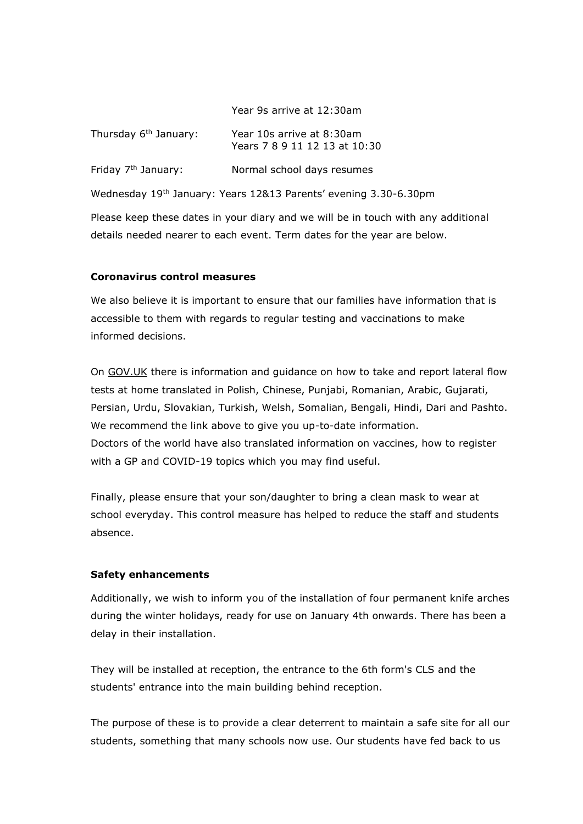|  |  | Year 9s arrive at 12:30am |
|--|--|---------------------------|
|  |  |                           |

| Thursday 6 <sup>th</sup> January: | Year 10s arrive at 8:30am<br>Years 7 8 9 11 12 13 at 10:30 |
|-----------------------------------|------------------------------------------------------------|
| Friday 7 <sup>th</sup> January:   | Normal school days resumes                                 |

Wednesday 19th January: Years 12&13 Parents' evening 3.30-6.30pm

Please keep these dates in your diary and we will be in touch with any additional details needed nearer to each event. Term dates for the year are below.

## **Coronavirus control measures**

We also believe it is important to ensure that our families have information that is accessible to them with regards to regular testing and vaccinations to make informed decisions.

On [GOV.UK](https://www.gov.uk/guidance/covid-19-self-test-help?utm_source=7%20December%202021%20C19&utm_medium=Daily%20Email%20C19&utm_campaign=DfE%20C19) there is information and guidance on how to take and report lateral flow tests at home translated in Polish, Chinese, Punjabi, Romanian, Arabic, Gujarati, Persian, Urdu, Slovakian, Turkish, Welsh, Somalian, Bengali, Hindi, Dari and Pashto. We recommend the link above to give you up-to-date information. [Doctors of the world](https://www.doctorsoftheworld.org.uk/translated-health-information/) have also translated information on vaccines, how to register with a GP and COVID-19 topics which you may find useful.

Finally, please ensure that your son/daughter to bring a clean mask to wear at school everyday. This control measure has helped to reduce the staff and students absence.

## **Safety enhancements**

Additionally, we wish to inform you of the installation of four permanent knife arches during the winter holidays, ready for use on January 4th onwards. There has been a delay in their installation.

They will be installed at reception, the entrance to the 6th form's CLS and the students' entrance into the main building behind reception.

The purpose of these is to provide a clear deterrent to maintain a safe site for all our students, something that many schools now use. Our students have fed back to us